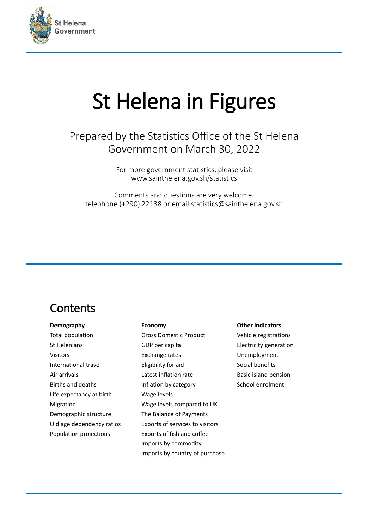

# St Helena in Figures

#### Prepared by the Statistics Office of the St Helena Government on March 30, 2022

For more government statistics, please visit www.sainthelena.gov.sh/statistics

Comments and questions are very welcome: telephone (+290) 22138 or email statistics@sainthelena.gov.sh

#### Contents

#### **Demography**

Total population St Helenians Visitors International travel Air arrivals Births and deaths Life expectancy at birth Migration Demographic structure Old age dependency ratios Population projections

#### **Economy**

Gross Domestic Product GDP per capita Exchange rates Eligibility for aid Latest inflation rate Inflation by category Wage levels Wage levels compared to UK The Balance of Payments Exports of services to visitors Exports of fish and coffee Imports by commodity Imports by country of purchase

#### **Other indicators**

Vehicle registrations Electricity generation Unemployment Social benefits Basic island pension School enrolment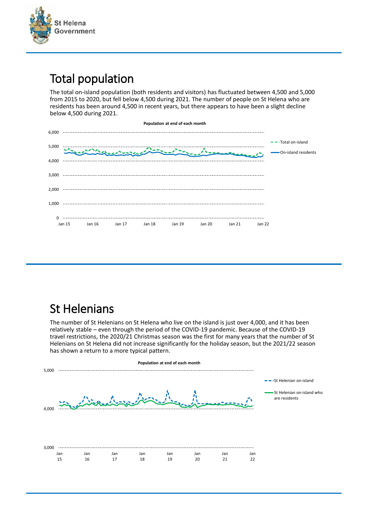

# Total population

The total on-island population (both residents and visitors) has fluctuated between 4,500 and 5,000 from 2015 to 2020, but fell below 4,500 during 2021. The number of people on St Helena who are residents has been around 4,500 in recent years, but there appears to have been a slight decline below 4,500 during 2021.



# St Helenians

The number of St Helenians on St Helena who live on the island is just over 4,000, and it has been relatively stable – even through the period of the COVID-19 pandemic. Because of the COVID-19 travel restrictions, the 2020/21 Christmas season was the first for many years that the number of St Helenians on St Helena did not increase significantly for the holiday season, but the 2021/22 season has shown a return to a more typical pattern.

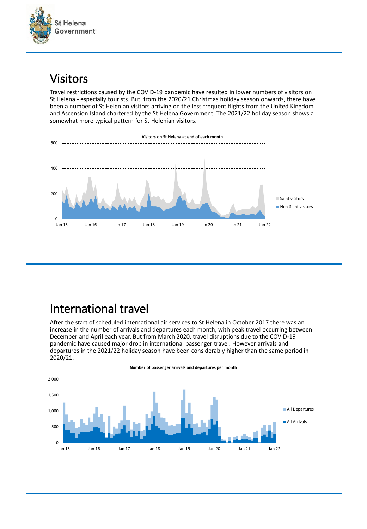

#### Visitors

Travel restrictions caused by the COVID-19 pandemic have resulted in lower numbers of visitors on St Helena - especially tourists. But, from the 2020/21 Christmas holiday season onwards, there have been a number of St Helenian visitors arriving on the less frequent flights from the United Kingdom and Ascension Island chartered by the St Helena Government. The 2021/22 holiday season shows a somewhat more typical pattern for St Helenian visitors.



# International travel

After the start of scheduled international air services to St Helena in October 2017 there was an increase in the number of arrivals and departures each month, with peak travel occurring between December and April each year. But from March 2020, travel disruptions due to the COVID-19 pandemic have caused major drop in international passenger travel. However arrivals and departures in the 2021/22 holiday season have been considerably higher than the same period in 2020/21.

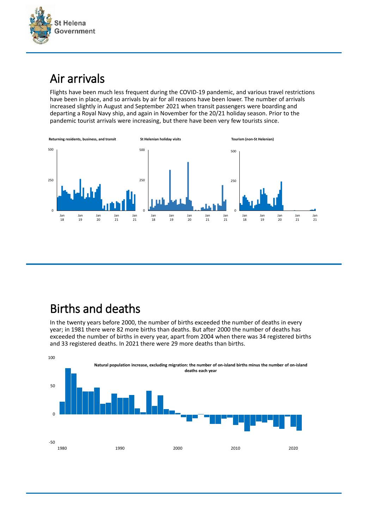

# Air arrivals

Flights have been much less frequent during the COVID-19 pandemic, and various travel restrictions have been in place, and so arrivals by air for all reasons have been lower. The number of arrivals increased slightly in August and September 2021 when transit passengers were boarding and departing a Royal Navy ship, and again in November for the 20/21 holiday season. Prior to the pandemic tourist arrivals were increasing, but there have been very few tourists since.



# Births and deaths

In the twenty years before 2000, the number of births exceeded the number of deaths in every year; in 1981 there were 82 more births than deaths. But after 2000 the number of deaths has exceeded the number of births in every year, apart from 2004 when there was 34 registered births and 33 registered deaths. In 2021 there were 29 more deaths than births.

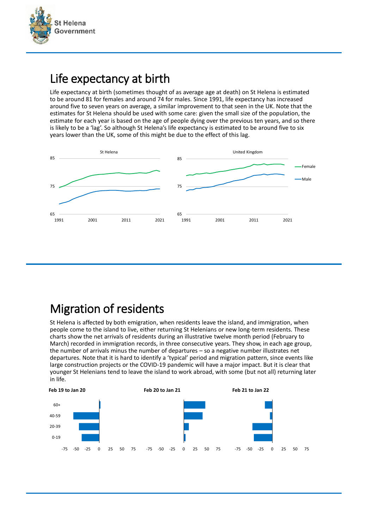

#### Life expectancy at birth

Life expectancy at birth (sometimes thought of as average age at death) on St Helena is estimated to be around 81 for females and around 74 for males. Since 1991, life expectancy has increased around five to seven years on average, a similar improvement to that seen in the UK. Note that the estimates for St Helena should be used with some care: given the small size of the population, the estimate for each year is based on the age of people dying over the previous ten years, and so there is likely to be a 'lag'. So although St Helena's life expectancy is estimated to be around five to six years lower than the UK, some of this might be due to the effect of this lag.



# Migration of residents

St Helena is affected by both emigration, when residents leave the island, and immigration, when people come to the island to live, either returning St Helenians or new long-term residents. These charts show the net arrivals of residents during an illustrative twelve month period (February to March) recorded in immigration records, in three consecutive years. They show, in each age group, the number of arrivals minus the number of departures – so a negative number illustrates net departures. Note that it is hard to identify a 'typical' period and migration pattern, since events like large construction projects or the COVID-19 pandemic will have a major impact. But it is clear that younger St Helenians tend to leave the island to work abroad, with some (but not all) returning later in life.

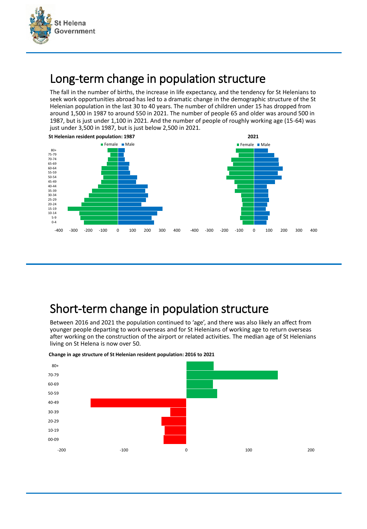

#### Long-term change in population structure

The fall in the number of births, the increase in life expectancy, and the tendency for St Helenians to seek work opportunities abroad has led to a dramatic change in the demographic structure of the St Helenian population in the last 30 to 40 years. The number of children under 15 has dropped from around 1,500 in 1987 to around 550 in 2021. The number of people 65 and older was around 500 in 1987, but is just under 1,100 in 2021. And the number of people of roughly working age (15-64) was just under 3,500 in 1987, but is just below 2,500 in 2021.



#### Short-term change in population structure

Between 2016 and 2021 the population continued to 'age', and there was also likely an affect from younger people departing to work overseas and for St Helenians of working age to return overseas after working on the construction of the airport or related activities. The median age of St Helenians living on St Helena is now over 50.



**Change in age structure of St Helenian resident population: 2016 to 2021**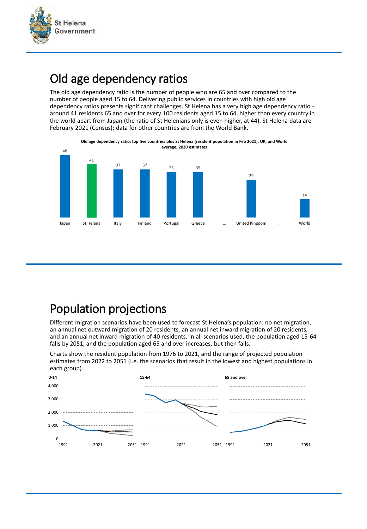

# Old age dependency ratios

The old age dependency ratio is the number of people who are 65 and over compared to the number of people aged 15 to 64. Delivering public services in countries with high old age dependency ratios presents significant challenges. St Helena has a very high age dependency ratio around 41 residents 65 and over for every 100 residents aged 15 to 64, higher than every country in the world apart from Japan (the ratio of St Helenians only is even higher, at 44). St Helena data are February 2021 (Census); data for other countries are from the World Bank.



# Population projections

Different migration scenarios have been used to forecast St Helena's population: no net migration, an annual net outward migration of 20 residents, an annual net inward migration of 20 residents, and an annual net inward migration of 40 residents. In all scenarios used, the population aged 15-64 falls by 2051, and the population aged 65 and over increases, but then falls.

Charts show the resident population from 1976 to 2021, and the range of projected population estimates from 2022 to 2051 (i.e. the scenarios that result in the lowest and highest populations in each group).

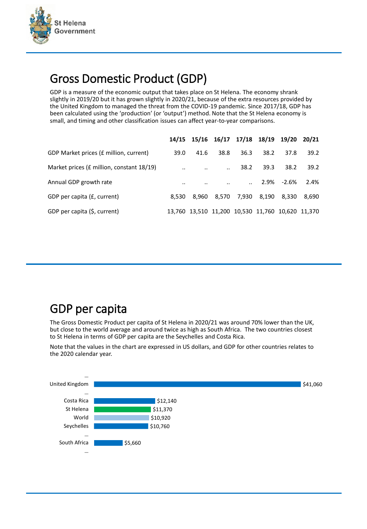

# Gross Domestic Product (GDP)

GDP is a measure of the economic output that takes place on St Helena. The economy shrank slightly in 2019/20 but it has grown slightly in 2020/21, because of the extra resources provided by the United Kingdom to managed the threat from the COVID-19 pandemic. Since 2017/18, GDP has been calculated using the 'production' (or 'output') method. Note that the St Helena economy is small, and timing and other classification issues can affect year-to-year comparisons.

|                                           |           | 14/15 15/16 16/17 17/18 18/19 19/20 20/21        |                      |       |       |            |       |
|-------------------------------------------|-----------|--------------------------------------------------|----------------------|-------|-------|------------|-------|
| GDP Market prices (£ million, current)    | 39.0      | 41.6                                             | 38.8                 | 36.3  | 38.2  | 37.8       | 39.2  |
| Market prices (£ million, constant 18/19) | $\cdot$ . | $\cdot$ .                                        | $\ddot{\phantom{a}}$ | 38.2  | 39.3  | 38.2       | 39.2  |
| Annual GDP growth rate                    | $\cdot$ . | $\cdot$ .                                        |                      |       |       | 2.9% -2.6% | 2.4%  |
| GDP per capita (£, current)               | 8.530     | 8.960                                            | 8.570                | 7.930 | 8.190 | 8.330      | 8.690 |
| GDP per capita (\$, current)              |           | 13,760 13,510 11,200 10,530 11,760 10,620 11,370 |                      |       |       |            |       |

#### GDP per capita

The Gross Domestic Product per capita of St Helena in 2020/21 was around 70% lower than the UK, but close to the world average and around twice as high as South Africa. The two countries closest to St Helena in terms of GDP per capita are the Seychelles and Costa Rica.

Note that the values in the chart are expressed in US dollars, and GDP for other countries relates to the 2020 calendar year.

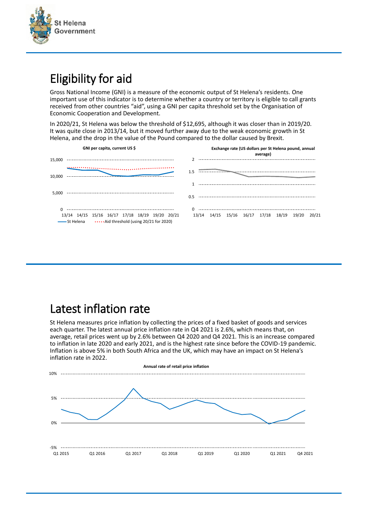

# Eligibility for aid

Gross National Income (GNI) is a measure of the economic output of St Helena's residents. One important use of this indicator is to determine whether a country or territory is eligible to call grants received from other countries "aid", using a GNI per capita threshold set by the Organisation of Economic Cooperation and Development.

In 2020/21, St Helena was below the threshold of \$12,695, although it was closer than in 2019/20. It was quite close in 2013/14, but it moved further away due to the weak economic growth in St Helena, and the drop in the value of the Pound compared to the dollar caused by Brexit.

| GNI per capita, current US \$                                                                      | Exchange rate (US dollars per St Helena pound, annual<br>average) |  |  |  |  |  |
|----------------------------------------------------------------------------------------------------|-------------------------------------------------------------------|--|--|--|--|--|
| 15,000                                                                                             |                                                                   |  |  |  |  |  |
| 10.000<br>.                                                                                        | 1.5                                                               |  |  |  |  |  |
|                                                                                                    |                                                                   |  |  |  |  |  |
| 5.000                                                                                              |                                                                   |  |  |  |  |  |
| 13/14 14/15 15/16 16/17 17/18 18/19 19/20 20/21<br>St Helena  Aid threshold (using 20/21 for 2020) | 0<br>13/14 14/15 15/16 16/17 17/18 18/19 19/20<br>20/21           |  |  |  |  |  |

# Latest inflation rate

St Helena measures price inflation by collecting the prices of a fixed basket of goods and services each quarter. The latest annual price inflation rate in Q4 2021 is 2.6%, which means that, on average, retail prices went up by 2.6% between Q4 2020 and Q4 2021. This is an increase compared to inflation in late 2020 and early 2021, and is the highest rate since before the COVID-19 pandemic. Inflation is above 5% in both South Africa and the UK, which may have an impact on St Helena's inflation rate in 2022.

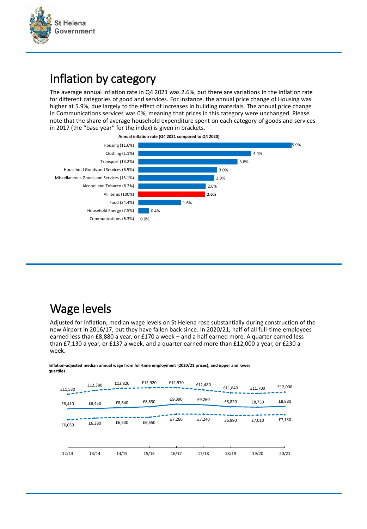

#### Inflation by category

The average annual inflation rate in Q4 2021 was 2.6%, but there are variations in the inflation rate for different categories of good and services. For instance, the annual price change of Housing was higher at 5.9%, due largely to the effect of increases in building materials. The annual price change in Communications services was 0%, meaning that prices in this category were unchanged. Please note that the share of average household expenditure spent on each category of goods and services in 2017 (the "base year" for the index) is given in brackets.





# Wage levels

Adjusted for inflation, median wage levels on St Helena rose substantially during construction of the new Airport in 2016/17, but they have fallen back since. In 2020/21, half of all full-time employees earned less than £8,880 a year, or £170 a week – and a half earned more. A quarter earned less than £7,130 a year, or £137 a week, and a quarter earned more than £12,000 a year, or £230 a week.

|         | £12,380 | £12,820 | £12,920 | £12,970 | £12,480 | £11,840 |         | £12,000 |
|---------|---------|---------|---------|---------|---------|---------|---------|---------|
| £11,530 |         |         |         |         |         |         | £11,700 |         |
| £8,410  | £8,450  | £8,640  | £8,830  | £9,390  | £9,260  | £8,820  | £8,750  | £8,880  |
|         |         |         |         |         |         |         |         |         |
| £6,030  | £6,380  | £6,530  | £6,550  | £7,260  | £7,240  | £6,990  | £7,010  | £7,130  |
|         |         |         |         |         |         |         |         |         |
|         |         |         |         |         |         |         |         |         |
| 12/13   | 13/14   | 14/15   | 15/16   | 16/17   | 17/18   | 18/19   | 19/20   | 20/21   |

**Inflation-adjusted median annual wage from full-time employment (2020/21 prices), and upper and lower quartiles**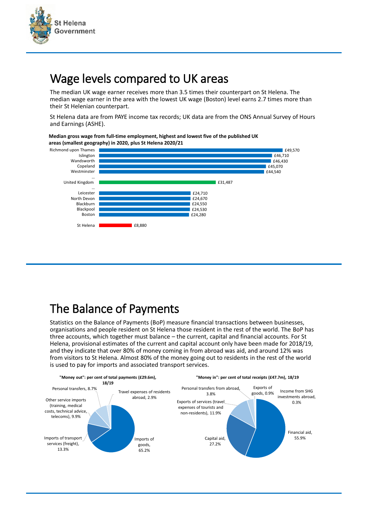

#### Wage levels compared to UK areas

The median UK wage earner receives more than 3.5 times their counterpart on St Helena. The median wage earner in the area with the lowest UK wage (Boston) level earns 2.7 times more than their St Helenian counterpart.

St Helena data are from PAYE income tax records; UK data are from the ONS Annual Survey of Hours and Earnings (ASHE).

**Median gross wage from full-time employment, highest and lowest five of the published UK areas (smallest geography) in 2020, plus St Helena 2020/21**



# The Balance of Payments

Statistics on the Balance of Payments (BoP) measure financial transactions between businesses, organisations and people resident on St Helena those resident in the rest of the world. The BoP has three accounts, which together must balance – the current, capital and financial accounts. For St Helena, provisional estimates of the current and capital account only have been made for 2018/19, and they indicate that over 80% of money coming in from abroad was aid, and around 12% was from visitors to St Helena. Almost 80% of the money going out to residents in the rest of the world is used to pay for imports and associated transport services.

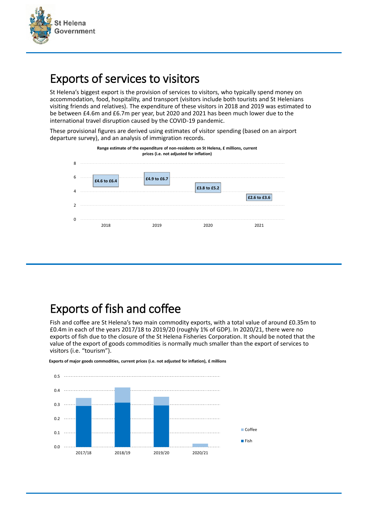

# Exports of services to visitors

St Helena's biggest export is the provision of services to visitors, who typically spend money on accommodation, food, hospitality, and transport (visitors include both tourists and St Helenians visiting friends and relatives). The expenditure of these visitors in 2018 and 2019 was estimated to be between £4.6m and £6.7m per year, but 2020 and 2021 has been much lower due to the international travel disruption caused by the COVID-19 pandemic.

These provisional figures are derived using estimates of visitor spending (based on an airport departure survey), and an analysis of immigration records.



# Exports of fish and coffee

Fish and coffee are St Helena's two main commodity exports, with a total value of around £0.35m to £0.4m in each of the years 2017/18 to 2019/20 (roughly 1% of GDP). In 2020/21, there were no exports of fish due to the closure of the St Helena Fisheries Corporation. It should be noted that the value of the export of goods commodities is normally much smaller than the export of services to visitors (i.e. "tourism").



**Exports of major goods commodities, current prices (i.e. not adjusted for inflation), £ millions**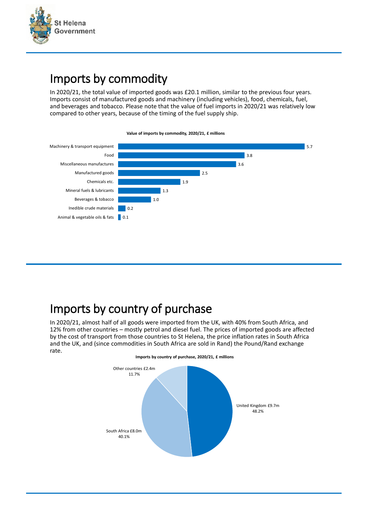

#### Imports by commodity

In 2020/21, the total value of imported goods was £20.1 million, similar to the previous four years. Imports consist of manufactured goods and machinery (including vehicles), food, chemicals, fuel, and beverages and tobacco. Please note that the value of fuel imports in 2020/21 was relatively low compared to other years, because of the timing of the fuel supply ship.



**Value of imports by commodity, 2020/21, £ millions**

# Imports by country of purchase

In 2020/21, almost half of all goods were imported from the UK, with 40% from South Africa, and 12% from other countries – mostly petrol and diesel fuel. The prices of imported goods are affected by the cost of transport from those countries to St Helena, the price inflation rates in South Africa and the UK, and (since commodities in South Africa are sold in Rand) the Pound/Rand exchange rate.

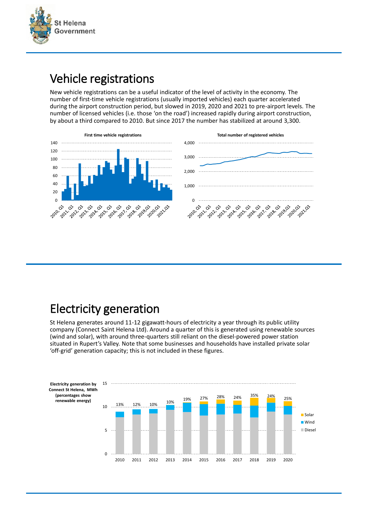

#### Vehicle registrations

New vehicle registrations can be a useful indicator of the level of activity in the economy. The number of first-time vehicle registrations (usually imported vehicles) each quarter accelerated during the airport construction period, but slowed in 2019, 2020 and 2021 to pre-airport levels. The number of licensed vehicles (i.e. those 'on the road') increased rapidly during airport construction, by about a third compared to 2010. But since 2017 the number has stabilized at around 3,300.



# Electricity generation

St Helena generates around 11-12 gigawatt-hours of electricity a year through its public utility company (Connect Saint Helena Ltd). Around a quarter of this is generated using renewable sources (wind and solar), with around three-quarters still reliant on the diesel-powered power station situated in Rupert's Valley. Note that some businesses and households have installed private solar 'off-grid' generation capacity; this is not included in these figures.

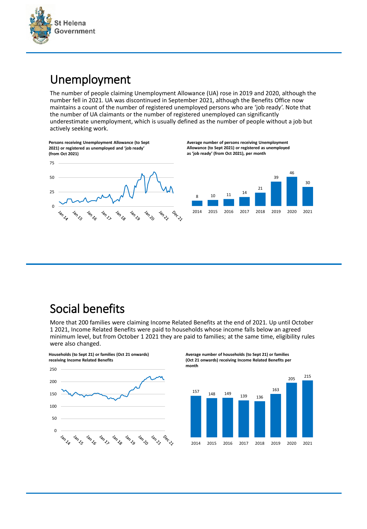

 $\overline{0}$ 

℅

#### Unemployment

The number of people claiming Unemployment Allowance (UA) rose in 2019 and 2020, although the number fell in 2021. UA was discontinued in September 2021, although the Benefits Office now maintains a count of the number of registered unemployed persons who are 'job ready'. Note that the number of UA claimants or the number of registered unemployed can significantly underestimate unemployment, which is usually defined as the number of people without a job but actively seeking work.



**Lando** 

**Jan 19** 

♦, ' کہ **Land** 

**Average number of persons receiving Unemployment Allowance (to Sept 2021) or registered as unemployed as 'job ready' (from Oct 2021), per month**



#### Social benefits

More that 200 families were claiming Income Related Benefits at the end of 2021. Up until October 1 2021, Income Related Benefits were paid to households whose income falls below an agreed minimum level, but from October 1 2021 they are paid to families; at the same time, eligibility rules were also changed.

**Households (to Sept 21) or families (Oct 21 onwards) receiving Income Related Benefits**



**Average number of households (to Sept 21) or families (Oct 21 onwards) receiving Income Related Benefits per month**

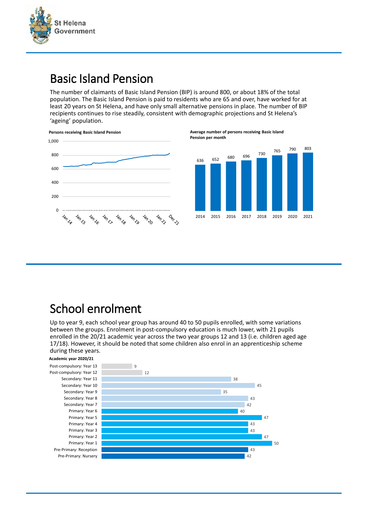

#### Basic Island Pension

The number of claimants of Basic Island Pension (BIP) is around 800, or about 18% of the total population. The Basic Island Pension is paid to residents who are 65 and over, have worked for at least 20 years on St Helena, and have only small alternative pensions in place. The number of BIP recipients continues to rise steadily, consistent with demographic projections and St Helena's 'ageing' population.



**Average number of persons receiving Basic Island Pension per month**



# School enrolment

Up to year 9, each school year group has around 40 to 50 pupils enrolled, with some variations between the groups. Enrolment in post-compulsory education is much lower, with 21 pupils enrolled in the 20/21 academic year across the two year groups 12 and 13 (i.e. children aged age 17/18). However, it should be noted that some children also enrol in an apprenticeship scheme during these years.